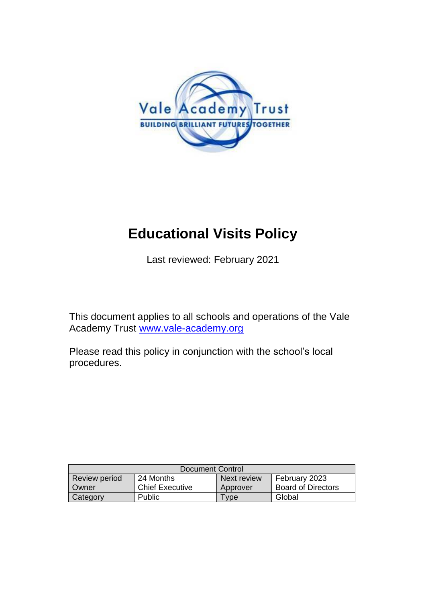

# **Educational Visits Policy**

Last reviewed: February 2021

This document applies to all schools and operations of the Vale Academy Trust [www.vale-academy.org](http://www.vale-academy.org/)

Please read this policy in conjunction with the school's local procedures.

| Document Control     |                        |             |                           |
|----------------------|------------------------|-------------|---------------------------|
| <b>Review period</b> | 24 Months              | Next review | February 2023             |
| Owner                | <b>Chief Executive</b> | Approver    | <b>Board of Directors</b> |
| Category             | <b>Public</b>          | <b>vpe</b>  | Global                    |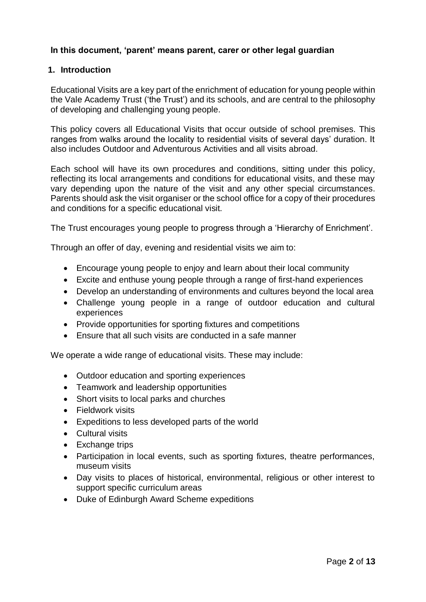# **In this document, 'parent' means parent, carer or other legal guardian**

#### **1. Introduction**

Educational Visits are a key part of the enrichment of education for young people within the Vale Academy Trust ('the Trust') and its schools, and are central to the philosophy of developing and challenging young people.

This policy covers all Educational Visits that occur outside of school premises. This ranges from walks around the locality to residential visits of several days' duration. It also includes Outdoor and Adventurous Activities and all visits abroad.

Each school will have its own procedures and conditions, sitting under this policy, reflecting its local arrangements and conditions for educational visits, and these may vary depending upon the nature of the visit and any other special circumstances. Parents should ask the visit organiser or the school office for a copy of their procedures and conditions for a specific educational visit.

The Trust encourages young people to progress through a 'Hierarchy of Enrichment'.

Through an offer of day, evening and residential visits we aim to:

- Encourage young people to enjoy and learn about their local community
- Excite and enthuse young people through a range of first-hand experiences
- Develop an understanding of environments and cultures beyond the local area
- Challenge young people in a range of outdoor education and cultural experiences
- Provide opportunities for sporting fixtures and competitions
- Ensure that all such visits are conducted in a safe manner

We operate a wide range of educational visits. These may include:

- Outdoor education and sporting experiences
- Teamwork and leadership opportunities
- Short visits to local parks and churches
- Fieldwork visits
- Expeditions to less developed parts of the world
- Cultural visits
- Exchange trips
- Participation in local events, such as sporting fixtures, theatre performances, museum visits
- Day visits to places of historical, environmental, religious or other interest to support specific curriculum areas
- Duke of Edinburgh Award Scheme expeditions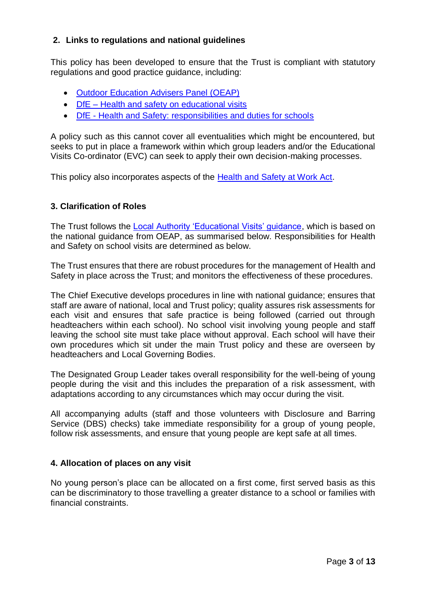# **2. Links to regulations and national guidelines**

This policy has been developed to ensure that the Trust is compliant with statutory regulations and good practice guidance, including:

- [Outdoor Education Advisers Panel \(OEAP\)](http://www.outdooreducationadvisers.co.uk/)
- DfE [Health and safety on educational visits](https://www.gov.uk/government/publications/health-and-safety-on-educational-visits/health-and-safety-on-educational-visits#the-2-main-types-of-trips)
- DfE [Health and Safety: responsibilities and duties for schools](https://www.gov.uk/government/publications/health-and-safety-advice-for-schools/responsibilities-and-duties-for-schools)

A policy such as this cannot cover all eventualities which might be encountered, but seeks to put in place a framework within which group leaders and/or the Educational Visits Co-ordinator (EVC) can seek to apply their own decision-making processes.

This policy also incorporates aspects of the [Health and Safety at Work Act.](http://www.hse.gov.uk/legislation/hswa.htm)

## **3. Clarification of Roles**

The Trust follows the [Local Authority 'Educational Visits' guidance,](http://schools.oxfordshire.gov.uk/cms/content/visits-advice-and-guidance) which is based on the national guidance from OEAP, as summarised below. Responsibilities for Health and Safety on school visits are determined as below.

The Trust ensures that there are robust procedures for the management of Health and Safety in place across the Trust; and monitors the effectiveness of these procedures.

The Chief Executive develops procedures in line with national guidance; ensures that staff are aware of national, local and Trust policy; quality assures risk assessments for each visit and ensures that safe practice is being followed (carried out through headteachers within each school). No school visit involving young people and staff leaving the school site must take place without approval. Each school will have their own procedures which sit under the main Trust policy and these are overseen by headteachers and Local Governing Bodies.

The Designated Group Leader takes overall responsibility for the well-being of young people during the visit and this includes the preparation of a risk assessment, with adaptations according to any circumstances which may occur during the visit.

All accompanying adults (staff and those volunteers with Disclosure and Barring Service (DBS) checks) take immediate responsibility for a group of young people, follow risk assessments, and ensure that young people are kept safe at all times.

## **4. Allocation of places on any visit**

No young person's place can be allocated on a first come, first served basis as this can be discriminatory to those travelling a greater distance to a school or families with financial constraints.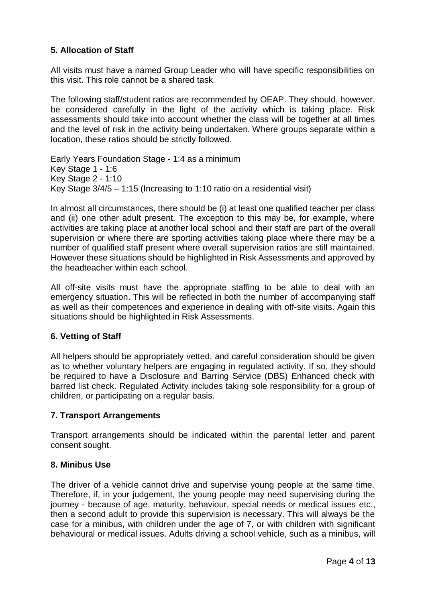# **5. Allocation of Staff**

All visits must have a named Group Leader who will have specific responsibilities on this visit. This role cannot be a shared task.

The following staff/student ratios are recommended by OEAP. They should, however, be considered carefully in the light of the activity which is taking place. Risk assessments should take into account whether the class will be together at all times and the level of risk in the activity being undertaken. Where groups separate within a location, these ratios should be strictly followed.

Early Years Foundation Stage - 1:4 as a minimum Key Stage 1 - 1:6 Key Stage 2 - 1:10 Key Stage 3/4/5 – 1:15 (Increasing to 1:10 ratio on a residential visit)

In almost all circumstances, there should be (i) at least one qualified teacher per class and (ii) one other adult present. The exception to this may be, for example, where activities are taking place at another local school and their staff are part of the overall supervision or where there are sporting activities taking place where there may be a number of qualified staff present where overall supervision ratios are still maintained. However these situations should be highlighted in Risk Assessments and approved by the headteacher within each school.

All off-site visits must have the appropriate staffing to be able to deal with an emergency situation. This will be reflected in both the number of accompanying staff as well as their competences and experience in dealing with off-site visits. Again this situations should be highlighted in Risk Assessments.

## **6. Vetting of Staff**

All helpers should be appropriately vetted, and careful consideration should be given as to whether voluntary helpers are engaging in regulated activity. If so, they should be required to have a Disclosure and Barring Service (DBS) Enhanced check with barred list check. Regulated Activity includes taking sole responsibility for a group of children, or participating on a regular basis.

## **7. Transport Arrangements**

Transport arrangements should be indicated within the parental letter and parent consent sought.

## **8. Minibus Use**

The driver of a vehicle cannot drive and supervise young people at the same time. Therefore, if, in your judgement, the young people may need supervising during the journey - because of age, maturity, behaviour, special needs or medical issues etc., then a second adult to provide this supervision is necessary. This will always be the case for a minibus, with children under the age of 7, or with children with significant behavioural or medical issues. Adults driving a school vehicle, such as a minibus, will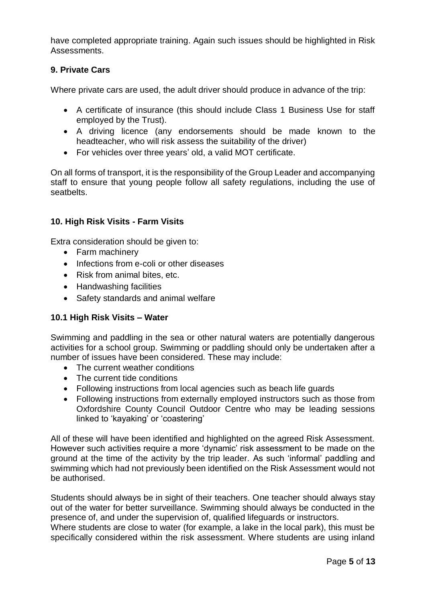have completed appropriate training. Again such issues should be highlighted in Risk Assessments.

# **9. Private Cars**

Where private cars are used, the adult driver should produce in advance of the trip:

- A certificate of insurance (this should include Class 1 Business Use for staff employed by the Trust).
- A driving licence (any endorsements should be made known to the headteacher, who will risk assess the suitability of the driver)
- For vehicles over three years' old, a valid MOT certificate.

On all forms of transport, it is the responsibility of the Group Leader and accompanying staff to ensure that young people follow all safety regulations, including the use of seatbelts.

# **10. High Risk Visits - Farm Visits**

Extra consideration should be given to:

- Farm machinery
- Infections from e-coli or other diseases
- Risk from animal bites, etc.
- Handwashing facilities
- Safety standards and animal welfare

## **10.1 High Risk Visits – Water**

Swimming and paddling in the sea or other natural waters are potentially dangerous activities for a school group. Swimming or paddling should only be undertaken after a number of issues have been considered. These may include:

- The current weather conditions
- The current tide conditions
- Following instructions from local agencies such as beach life guards
- Following instructions from externally employed instructors such as those from Oxfordshire County Council Outdoor Centre who may be leading sessions linked to 'kayaking' or 'coastering'

All of these will have been identified and highlighted on the agreed Risk Assessment. However such activities require a more 'dynamic' risk assessment to be made on the ground at the time of the activity by the trip leader. As such 'informal' paddling and swimming which had not previously been identified on the Risk Assessment would not be authorised.

Students should always be in sight of their teachers. One teacher should always stay out of the water for better surveillance. Swimming should always be conducted in the presence of, and under the supervision of, qualified lifeguards or instructors.

Where students are close to water (for example, a lake in the local park), this must be specifically considered within the risk assessment. Where students are using inland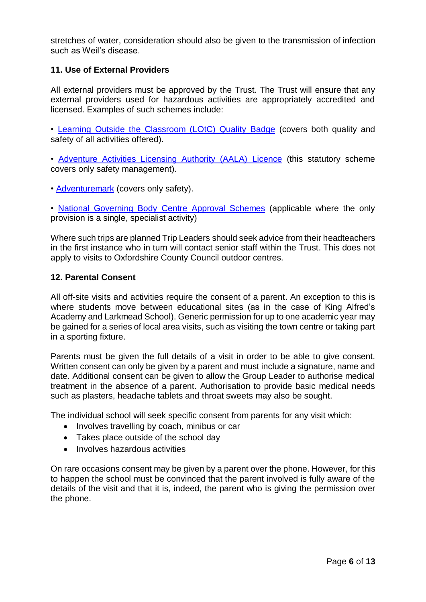stretches of water, consideration should also be given to the transmission of infection such as Weil's disease.

# **11. Use of External Providers**

All external providers must be approved by the Trust. The Trust will ensure that any external providers used for hazardous activities are appropriately accredited and licensed. Examples of such schemes include:

• [Learning Outside the Classroom \(LOtC\) Quality Badge](http://lotcqualitybadge.org.uk/) (covers both quality and safety of all activities offered).

• [Adventure Activities Licensing Authority \(AALA\) Licence](http://www.hse.gov.uk/aala/) (this statutory scheme covers only safety management).

• [Adventuremark](https://www.adventuremark.co.uk/) (covers only safety).

• [National Governing Body Centre Approval Schemes](https://www.sportengland.org/our-work/national-governing-bodies/) (applicable where the only provision is a single, specialist activity)

Where such trips are planned Trip Leaders should seek advice from their headteachers in the first instance who in turn will contact senior staff within the Trust. This does not apply to visits to Oxfordshire County Council outdoor centres.

#### **12. Parental Consent**

All off-site visits and activities require the consent of a parent. An exception to this is where students move between educational sites (as in the case of King Alfred's Academy and Larkmead School). Generic permission for up to one academic year may be gained for a series of local area visits, such as visiting the town centre or taking part in a sporting fixture.

Parents must be given the full details of a visit in order to be able to give consent. Written consent can only be given by a parent and must include a signature, name and date. Additional consent can be given to allow the Group Leader to authorise medical treatment in the absence of a parent. Authorisation to provide basic medical needs such as plasters, headache tablets and throat sweets may also be sought.

The individual school will seek specific consent from parents for any visit which:

- Involves travelling by coach, minibus or car
- Takes place outside of the school day
- Involves hazardous activities

On rare occasions consent may be given by a parent over the phone. However, for this to happen the school must be convinced that the parent involved is fully aware of the details of the visit and that it is, indeed, the parent who is giving the permission over the phone.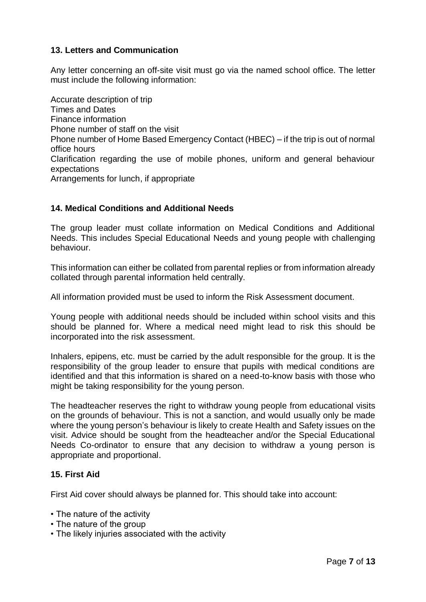# **13. Letters and Communication**

Any letter concerning an off-site visit must go via the named school office. The letter must include the following information:

Accurate description of trip Times and Dates Finance information Phone number of staff on the visit Phone number of Home Based Emergency Contact (HBEC) – if the trip is out of normal office hours Clarification regarding the use of mobile phones, uniform and general behaviour expectations Arrangements for lunch, if appropriate

# **14. Medical Conditions and Additional Needs**

The group leader must collate information on Medical Conditions and Additional Needs. This includes Special Educational Needs and young people with challenging behaviour.

This information can either be collated from parental replies or from information already collated through parental information held centrally.

All information provided must be used to inform the Risk Assessment document.

Young people with additional needs should be included within school visits and this should be planned for. Where a medical need might lead to risk this should be incorporated into the risk assessment.

Inhalers, epipens, etc. must be carried by the adult responsible for the group. It is the responsibility of the group leader to ensure that pupils with medical conditions are identified and that this information is shared on a need-to-know basis with those who might be taking responsibility for the young person.

The headteacher reserves the right to withdraw young people from educational visits on the grounds of behaviour. This is not a sanction, and would usually only be made where the young person's behaviour is likely to create Health and Safety issues on the visit. Advice should be sought from the headteacher and/or the Special Educational Needs Co-ordinator to ensure that any decision to withdraw a young person is appropriate and proportional.

## **15. First Aid**

First Aid cover should always be planned for. This should take into account:

- The nature of the activity
- The nature of the group
- The likely injuries associated with the activity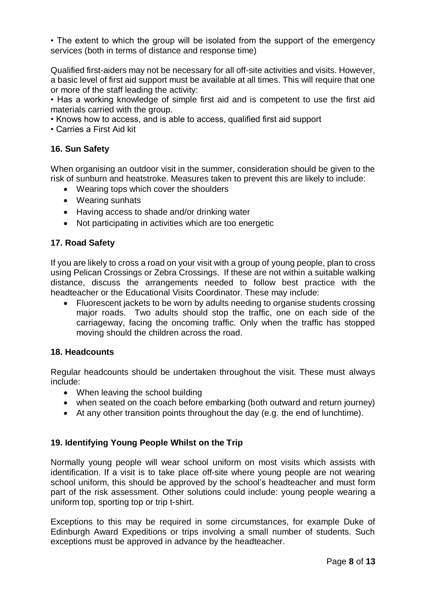• The extent to which the group will be isolated from the support of the emergency services (both in terms of distance and response time)

Qualified first-aiders may not be necessary for all off-site activities and visits. However, a basic level of first aid support must be available at all times. This will require that one or more of the staff leading the activity:

• Has a working knowledge of simple first aid and is competent to use the first aid materials carried with the group.

- Knows how to access, and is able to access, qualified first aid support
- Carries a First Aid kit

# **16. Sun Safety**

When organising an outdoor visit in the summer, consideration should be given to the risk of sunburn and heatstroke. Measures taken to prevent this are likely to include:

- Wearing tops which cover the shoulders
- Wearing sunhats
- Having access to shade and/or drinking water
- Not participating in activities which are too energetic

# **17. Road Safety**

If you are likely to cross a road on your visit with a group of young people, plan to cross using Pelican Crossings or Zebra Crossings. If these are not within a suitable walking distance, discuss the arrangements needed to follow best practice with the headteacher or the Educational Visits Coordinator. These may include:

 Fluorescent jackets to be worn by adults needing to organise students crossing major roads. Two adults should stop the traffic, one on each side of the carriageway, facing the oncoming traffic. Only when the traffic has stopped moving should the children across the road.

## **18. Headcounts**

Regular headcounts should be undertaken throughout the visit. These must always include:

- When leaving the school building
- when seated on the coach before embarking (both outward and return journey)
- At any other transition points throughout the day (e.g. the end of lunchtime).

# **19. Identifying Young People Whilst on the Trip**

Normally young people will wear school uniform on most visits which assists with identification. If a visit is to take place off-site where young people are not wearing school uniform, this should be approved by the school's headteacher and must form part of the risk assessment. Other solutions could include: young people wearing a uniform top, sporting top or trip t-shirt.

Exceptions to this may be required in some circumstances, for example Duke of Edinburgh Award Expeditions or trips involving a small number of students. Such exceptions must be approved in advance by the headteacher.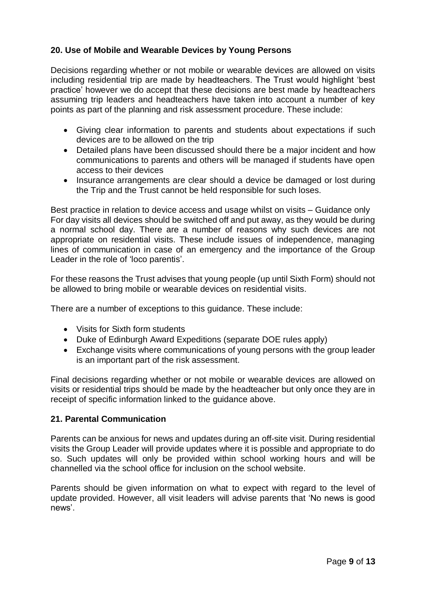# **20. Use of Mobile and Wearable Devices by Young Persons**

Decisions regarding whether or not mobile or wearable devices are allowed on visits including residential trip are made by headteachers. The Trust would highlight 'best practice' however we do accept that these decisions are best made by headteachers assuming trip leaders and headteachers have taken into account a number of key points as part of the planning and risk assessment procedure. These include:

- Giving clear information to parents and students about expectations if such devices are to be allowed on the trip
- Detailed plans have been discussed should there be a major incident and how communications to parents and others will be managed if students have open access to their devices
- Insurance arrangements are clear should a device be damaged or lost during the Trip and the Trust cannot be held responsible for such loses.

Best practice in relation to device access and usage whilst on visits – Guidance only For day visits all devices should be switched off and put away, as they would be during a normal school day. There are a number of reasons why such devices are not appropriate on residential visits. These include issues of independence, managing lines of communication in case of an emergency and the importance of the Group Leader in the role of 'loco parentis'.

For these reasons the Trust advises that young people (up until Sixth Form) should not be allowed to bring mobile or wearable devices on residential visits.

There are a number of exceptions to this guidance. These include:

- Visits for Sixth form students
- Duke of Edinburgh Award Expeditions (separate DOE rules apply)
- Exchange visits where communications of young persons with the group leader is an important part of the risk assessment.

Final decisions regarding whether or not mobile or wearable devices are allowed on visits or residential trips should be made by the headteacher but only once they are in receipt of specific information linked to the guidance above.

## **21. Parental Communication**

Parents can be anxious for news and updates during an off-site visit. During residential visits the Group Leader will provide updates where it is possible and appropriate to do so. Such updates will only be provided within school working hours and will be channelled via the school office for inclusion on the school website.

Parents should be given information on what to expect with regard to the level of update provided. However, all visit leaders will advise parents that 'No news is good news'.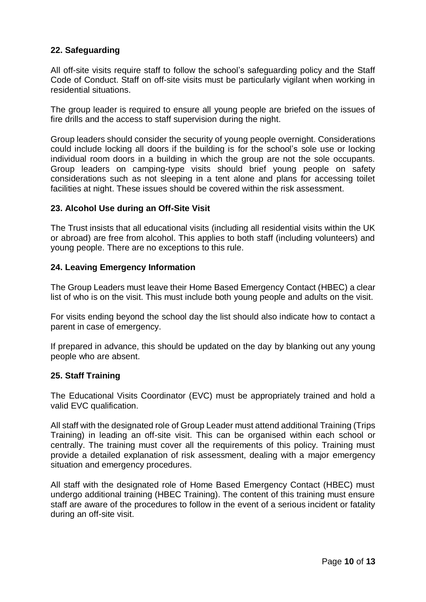# **22. Safeguarding**

All off-site visits require staff to follow the school's safeguarding policy and the Staff Code of Conduct. Staff on off-site visits must be particularly vigilant when working in residential situations.

The group leader is required to ensure all young people are briefed on the issues of fire drills and the access to staff supervision during the night.

Group leaders should consider the security of young people overnight. Considerations could include locking all doors if the building is for the school's sole use or locking individual room doors in a building in which the group are not the sole occupants. Group leaders on camping-type visits should brief young people on safety considerations such as not sleeping in a tent alone and plans for accessing toilet facilities at night. These issues should be covered within the risk assessment.

## **23. Alcohol Use during an Off-Site Visit**

The Trust insists that all educational visits (including all residential visits within the UK or abroad) are free from alcohol. This applies to both staff (including volunteers) and young people. There are no exceptions to this rule.

## **24. Leaving Emergency Information**

The Group Leaders must leave their Home Based Emergency Contact (HBEC) a clear list of who is on the visit. This must include both young people and adults on the visit.

For visits ending beyond the school day the list should also indicate how to contact a parent in case of emergency.

If prepared in advance, this should be updated on the day by blanking out any young people who are absent.

## **25. Staff Training**

The Educational Visits Coordinator (EVC) must be appropriately trained and hold a valid EVC qualification.

All staff with the designated role of Group Leader must attend additional Training (Trips Training) in leading an off-site visit. This can be organised within each school or centrally. The training must cover all the requirements of this policy. Training must provide a detailed explanation of risk assessment, dealing with a major emergency situation and emergency procedures.

All staff with the designated role of Home Based Emergency Contact (HBEC) must undergo additional training (HBEC Training). The content of this training must ensure staff are aware of the procedures to follow in the event of a serious incident or fatality during an off-site visit.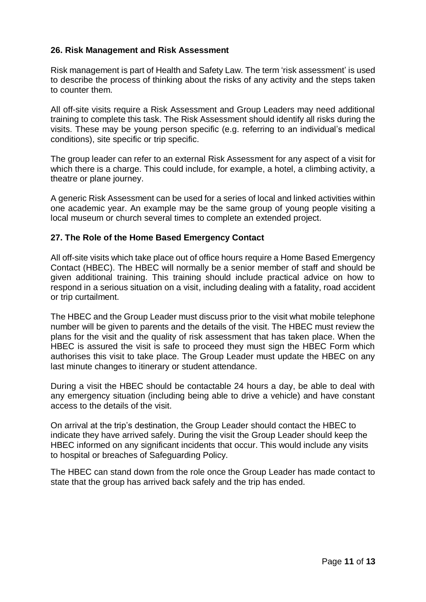# **26. Risk Management and Risk Assessment**

Risk management is part of Health and Safety Law. The term 'risk assessment' is used to describe the process of thinking about the risks of any activity and the steps taken to counter them.

All off-site visits require a Risk Assessment and Group Leaders may need additional training to complete this task. The Risk Assessment should identify all risks during the visits. These may be young person specific (e.g. referring to an individual's medical conditions), site specific or trip specific.

The group leader can refer to an external Risk Assessment for any aspect of a visit for which there is a charge. This could include, for example, a hotel, a climbing activity, a theatre or plane journey.

A generic Risk Assessment can be used for a series of local and linked activities within one academic year. An example may be the same group of young people visiting a local museum or church several times to complete an extended project.

## **27. The Role of the Home Based Emergency Contact**

All off-site visits which take place out of office hours require a Home Based Emergency Contact (HBEC). The HBEC will normally be a senior member of staff and should be given additional training. This training should include practical advice on how to respond in a serious situation on a visit, including dealing with a fatality, road accident or trip curtailment.

The HBEC and the Group Leader must discuss prior to the visit what mobile telephone number will be given to parents and the details of the visit. The HBEC must review the plans for the visit and the quality of risk assessment that has taken place. When the HBEC is assured the visit is safe to proceed they must sign the HBEC Form which authorises this visit to take place. The Group Leader must update the HBEC on any last minute changes to itinerary or student attendance.

During a visit the HBEC should be contactable 24 hours a day, be able to deal with any emergency situation (including being able to drive a vehicle) and have constant access to the details of the visit.

On arrival at the trip's destination, the Group Leader should contact the HBEC to indicate they have arrived safely. During the visit the Group Leader should keep the HBEC informed on any significant incidents that occur. This would include any visits to hospital or breaches of Safeguarding Policy.

The HBEC can stand down from the role once the Group Leader has made contact to state that the group has arrived back safely and the trip has ended.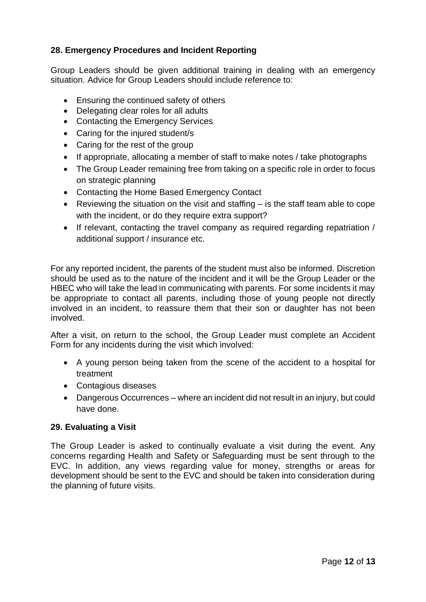# **28. Emergency Procedures and Incident Reporting**

Group Leaders should be given additional training in dealing with an emergency situation. Advice for Group Leaders should include reference to:

- Ensuring the continued safety of others
- Delegating clear roles for all adults
- Contacting the Emergency Services
- Caring for the injured student/s
- Caring for the rest of the group
- If appropriate, allocating a member of staff to make notes / take photographs
- The Group Leader remaining free from taking on a specific role in order to focus on strategic planning
- Contacting the Home Based Emergency Contact
- Reviewing the situation on the visit and staffing is the staff team able to cope with the incident, or do they require extra support?
- If relevant, contacting the travel company as required regarding repatriation / additional support / insurance etc.

For any reported incident, the parents of the student must also be informed. Discretion should be used as to the nature of the incident and it will be the Group Leader or the HBEC who will take the lead in communicating with parents. For some incidents it may be appropriate to contact all parents, including those of young people not directly involved in an incident, to reassure them that their son or daughter has not been involved.

After a visit, on return to the school, the Group Leader must complete an Accident Form for any incidents during the visit which involved:

- A young person being taken from the scene of the accident to a hospital for treatment
- Contagious diseases
- Dangerous Occurrences where an incident did not result in an injury, but could have done.

# **29. Evaluating a Visit**

The Group Leader is asked to continually evaluate a visit during the event. Any concerns regarding Health and Safety or Safeguarding must be sent through to the EVC. In addition, any views regarding value for money, strengths or areas for development should be sent to the EVC and should be taken into consideration during the planning of future visits.